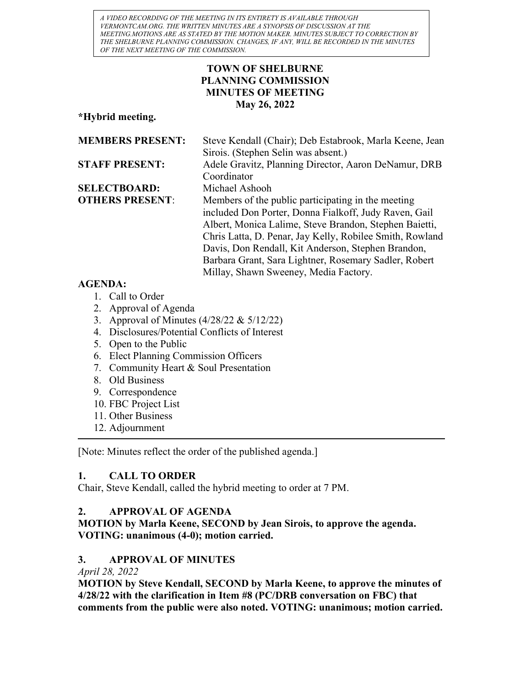A VIDEO RECORDING OF THE MEETING IN ITS ENTIRETY IS AVAILABLE THROUGH VERMONTCAM.ORG. THE WRITTEN MINUTES ARE A SYNOPSIS OF DISCUSSION AT THE MEETING.MOTIONS ARE AS STATED BY THE MOTION MAKER. MINUTES SUBJECT TO CORRECTION BY THE SHELBURNE PLANNING COMMISSION. CHANGES, IF ANY, WILL BE RECORDED IN THE MINUTES OF THE NEXT MEETING OF THE COMMISSION.

## TOWN OF SHELBURNE PLANNING COMMISSION MINUTES OF MEETING May 26, 2022

\*Hybrid meeting.

| <b>MEMBERS PRESENT:</b>                  | Steve Kendall (Chair); Deb Estabrook, Marla Keene, Jean  |
|------------------------------------------|----------------------------------------------------------|
|                                          | Sirois. (Stephen Selin was absent.)                      |
| <b>STAFF PRESENT:</b>                    | Adele Gravitz, Planning Director, Aaron DeNamur, DRB     |
|                                          | Coordinator                                              |
| <b>SELECTBOARD:</b>                      | Michael Ashooh                                           |
| <b>OTHERS PRESENT:</b>                   | Members of the public participating in the meeting       |
|                                          | included Don Porter, Donna Fialkoff, Judy Raven, Gail    |
|                                          | Albert, Monica Lalime, Steve Brandon, Stephen Baietti,   |
|                                          | Chris Latta, D. Penar, Jay Kelly, Robilee Smith, Rowland |
|                                          | Davis, Don Rendall, Kit Anderson, Stephen Brandon,       |
|                                          | Barbara Grant, Sara Lightner, Rosemary Sadler, Robert    |
|                                          | Millay, Shawn Sweeney, Media Factory.                    |
| $\lambda$ $\sim$ $\sim$ $\sim$ $\lambda$ |                                                          |

## AGENDA:

- 1. Call to Order
- 2. Approval of Agenda
- 3. Approval of Minutes (4/28/22 & 5/12/22)
- 4. Disclosures/Potential Conflicts of Interest
- 5. Open to the Public
- 6. Elect Planning Commission Officers
- 7. Community Heart & Soul Presentation
- 8. Old Business
- 9. Correspondence
- 10. FBC Project List
- 11. Other Business
- 12. Adjournment

[Note: Minutes reflect the order of the published agenda.]

# 1. CALL TO ORDER

Chair, Steve Kendall, called the hybrid meeting to order at 7 PM.

# 2. APPROVAL OF AGENDA

MOTION by Marla Keene, SECOND by Jean Sirois, to approve the agenda. VOTING: unanimous (4-0); motion carried.

## 3. APPROVAL OF MINUTES

April 28, 2022

MOTION by Steve Kendall, SECOND by Marla Keene, to approve the minutes of 4/28/22 with the clarification in Item #8 (PC/DRB conversation on FBC) that comments from the public were also noted. VOTING: unanimous; motion carried.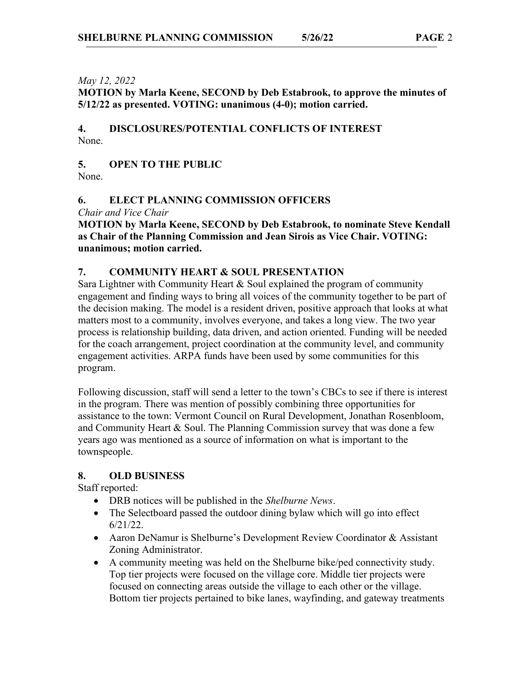#### May 12, 2022

MOTION by Marla Keene, SECOND by Deb Estabrook, to approve the minutes of 5/12/22 as presented. VOTING: unanimous (4-0); motion carried.

4. DISCLOSURES/POTENTIAL CONFLICTS OF INTEREST None.

5. OPEN TO THE PUBLIC

None.

## 6. ELECT PLANNING COMMISSION OFFICERS

Chair and Vice Chair

MOTION by Marla Keene, SECOND by Deb Estabrook, to nominate Steve Kendall as Chair of the Planning Commission and Jean Sirois as Vice Chair. VOTING: unanimous; motion carried.

#### 7. COMMUNITY HEART & SOUL PRESENTATION

Sara Lightner with Community Heart & Soul explained the program of community engagement and finding ways to bring all voices of the community together to be part of the decision making. The model is a resident driven, positive approach that looks at what matters most to a community, involves everyone, and takes a long view. The two year process is relationship building, data driven, and action oriented. Funding will be needed for the coach arrangement, project coordination at the community level, and community engagement activities. ARPA funds have been used by some communities for this program.

Following discussion, staff will send a letter to the town's CBCs to see if there is interest in the program. There was mention of possibly combining three opportunities for assistance to the town: Vermont Council on Rural Development, Jonathan Rosenbloom, and Community Heart & Soul. The Planning Commission survey that was done a few years ago was mentioned as a source of information on what is important to the townspeople.

#### 8. OLD BUSINESS

Staff reported:

- DRB notices will be published in the Shelburne News.
- The Selectboard passed the outdoor dining bylaw which will go into effect 6/21/22.
- Aaron DeNamur is Shelburne's Development Review Coordinator & Assistant Zoning Administrator.
- A community meeting was held on the Shelburne bike/ped connectivity study. Top tier projects were focused on the village core. Middle tier projects were focused on connecting areas outside the village to each other or the village. Bottom tier projects pertained to bike lanes, wayfinding, and gateway treatments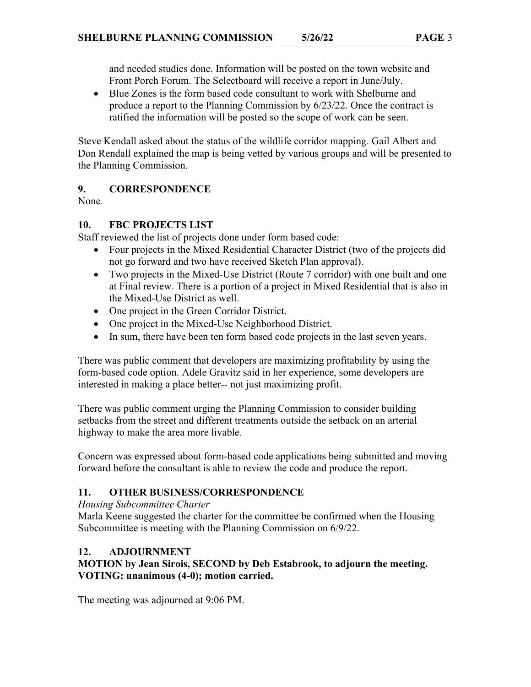and needed studies done. Information will be posted on the town website and Front Porch Forum. The Selectboard will receive a report in June/July.

 Blue Zones is the form based code consultant to work with Shelburne and produce a report to the Planning Commission by 6/23/22. Once the contract is ratified the information will be posted so the scope of work can be seen.

Steve Kendall asked about the status of the wildlife corridor mapping. Gail Albert and Don Rendall explained the map is being vetted by various groups and will be presented to the Planning Commission.

## 9. CORRESPONDENCE

None.

## 10. FBC PROJECTS LIST

Staff reviewed the list of projects done under form based code:

- Four projects in the Mixed Residential Character District (two of the projects did not go forward and two have received Sketch Plan approval).
- Two projects in the Mixed-Use District (Route 7 corridor) with one built and one at Final review. There is a portion of a project in Mixed Residential that is also in the Mixed-Use District as well.
- One project in the Green Corridor District.
- One project in the Mixed-Use Neighborhood District.
- In sum, there have been ten form based code projects in the last seven years.

There was public comment that developers are maximizing profitability by using the form-based code option. Adele Gravitz said in her experience, some developers are interested in making a place better-- not just maximizing profit.

There was public comment urging the Planning Commission to consider building setbacks from the street and different treatments outside the setback on an arterial highway to make the area more livable.

Concern was expressed about form-based code applications being submitted and moving forward before the consultant is able to review the code and produce the report.

# 11. OTHER BUSINESS/CORRESPONDENCE

## Housing Subcommittee Charter

Marla Keene suggested the charter for the committee be confirmed when the Housing Subcommittee is meeting with the Planning Commission on 6/9/22.

## 12. ADJOURNMENT

## MOTION by Jean Sirois, SECOND by Deb Estabrook, to adjourn the meeting. VOTING: unanimous (4-0); motion carried.

The meeting was adjourned at 9:06 PM.